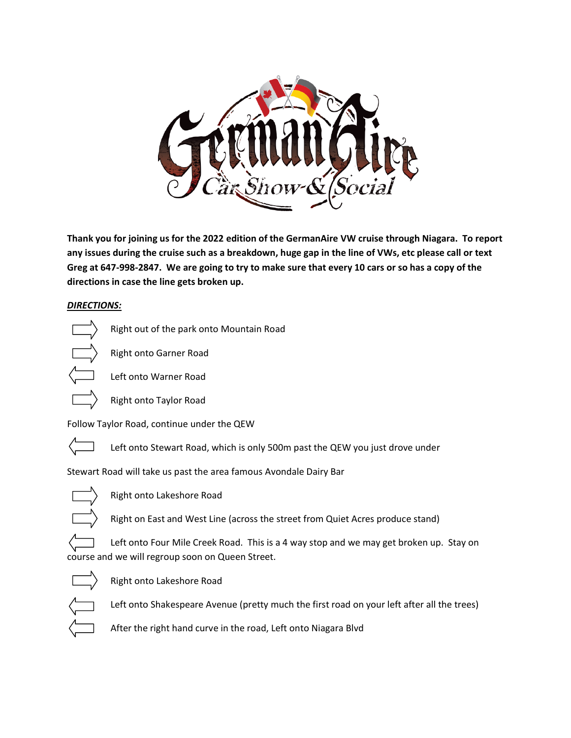

**Thank you for joining us for the 2022 edition of the GermanAire VW cruise through Niagara. To report any issues during the cruise such as a breakdown, huge gap in the line of VWs, etc please call or text Greg at 647-998-2847. We are going to try to make sure that every 10 cars or so has a copy of the directions in case the line gets broken up.** 

## *DIRECTIONS:*



Right out of the park onto Mountain Road





Left onto Warner Road

Right onto Taylor Road

Follow Taylor Road, continue under the QEW



Left onto Stewart Road, which is only 500m past the QEW you just drove under

Stewart Road will take us past the area famous Avondale Dairy Bar



Right onto Lakeshore Road

Right on East and West Line (across the street from Quiet Acres produce stand)

course and we will regroup soon on Queen Street.



Right onto Lakeshore Road

Left onto Shakespeare Avenue (pretty much the first road on your left after all the trees)

Left onto Four Mile Creek Road. This is a 4 way stop and we may get broken up. Stay on

After the right hand curve in the road, Left onto Niagara Blvd